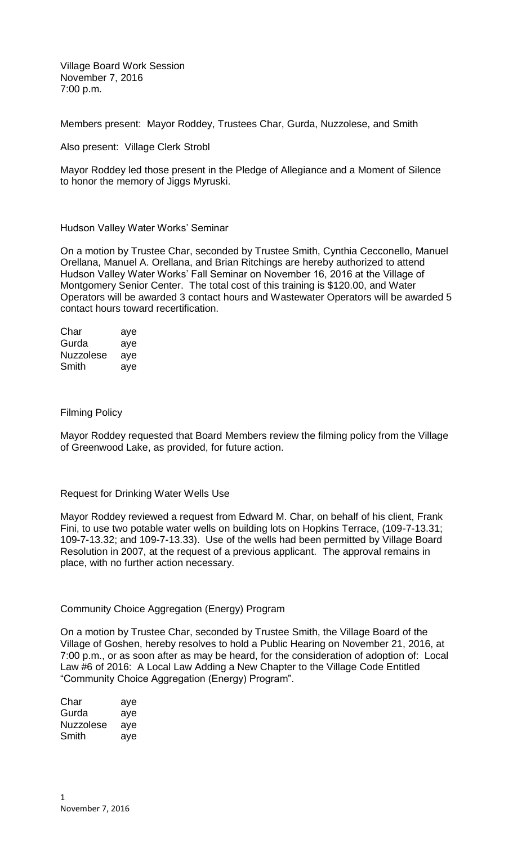Village Board Work Session November 7, 2016 7:00 p.m.

Members present: Mayor Roddey, Trustees Char, Gurda, Nuzzolese, and Smith

Also present: Village Clerk Strobl

Mayor Roddey led those present in the Pledge of Allegiance and a Moment of Silence to honor the memory of Jiggs Myruski.

### Hudson Valley Water Works' Seminar

On a motion by Trustee Char, seconded by Trustee Smith, Cynthia Cecconello, Manuel Orellana, Manuel A. Orellana, and Brian Ritchings are hereby authorized to attend Hudson Valley Water Works' Fall Seminar on November 16, 2016 at the Village of Montgomery Senior Center. The total cost of this training is \$120.00, and Water Operators will be awarded 3 contact hours and Wastewater Operators will be awarded 5 contact hours toward recertification.

| Char             | aye |
|------------------|-----|
| Gurda            | aye |
| <b>Nuzzolese</b> | aye |
| Smith            | aye |

#### Filming Policy

Mayor Roddey requested that Board Members review the filming policy from the Village of Greenwood Lake, as provided, for future action.

### Request for Drinking Water Wells Use

Mayor Roddey reviewed a request from Edward M. Char, on behalf of his client, Frank Fini, to use two potable water wells on building lots on Hopkins Terrace, (109-7-13.31; 109-7-13.32; and 109-7-13.33). Use of the wells had been permitted by Village Board Resolution in 2007, at the request of a previous applicant. The approval remains in place, with no further action necessary.

### Community Choice Aggregation (Energy) Program

On a motion by Trustee Char, seconded by Trustee Smith, the Village Board of the Village of Goshen, hereby resolves to hold a Public Hearing on November 21, 2016, at 7:00 p.m., or as soon after as may be heard, for the consideration of adoption of: Local Law #6 of 2016: A Local Law Adding a New Chapter to the Village Code Entitled "Community Choice Aggregation (Energy) Program".

| Char      | aye |
|-----------|-----|
| Gurda     | aye |
| Nuzzolese | aye |
| Smith     | aye |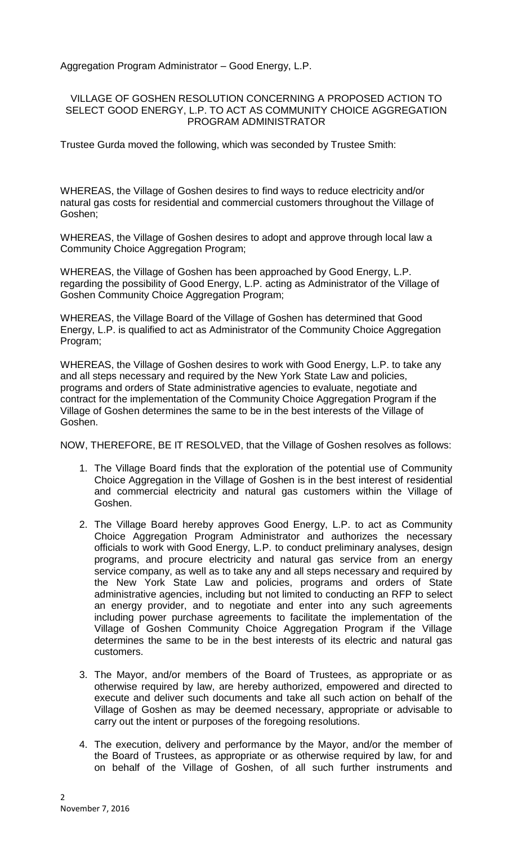Aggregation Program Administrator – Good Energy, L.P.

## VILLAGE OF GOSHEN RESOLUTION CONCERNING A PROPOSED ACTION TO SELECT GOOD ENERGY, L.P. TO ACT AS COMMUNITY CHOICE AGGREGATION PROGRAM ADMINISTRATOR

Trustee Gurda moved the following, which was seconded by Trustee Smith:

WHEREAS, the Village of Goshen desires to find ways to reduce electricity and/or natural gas costs for residential and commercial customers throughout the Village of Goshen;

WHEREAS, the Village of Goshen desires to adopt and approve through local law a Community Choice Aggregation Program;

WHEREAS, the Village of Goshen has been approached by Good Energy, L.P. regarding the possibility of Good Energy, L.P. acting as Administrator of the Village of Goshen Community Choice Aggregation Program;

WHEREAS, the Village Board of the Village of Goshen has determined that Good Energy, L.P. is qualified to act as Administrator of the Community Choice Aggregation Program;

WHEREAS, the Village of Goshen desires to work with Good Energy, L.P. to take any and all steps necessary and required by the New York State Law and policies, programs and orders of State administrative agencies to evaluate, negotiate and contract for the implementation of the Community Choice Aggregation Program if the Village of Goshen determines the same to be in the best interests of the Village of Goshen.

NOW, THEREFORE, BE IT RESOLVED, that the Village of Goshen resolves as follows:

- 1. The Village Board finds that the exploration of the potential use of Community Choice Aggregation in the Village of Goshen is in the best interest of residential and commercial electricity and natural gas customers within the Village of Goshen.
- 2. The Village Board hereby approves Good Energy, L.P. to act as Community Choice Aggregation Program Administrator and authorizes the necessary officials to work with Good Energy, L.P. to conduct preliminary analyses, design programs, and procure electricity and natural gas service from an energy service company, as well as to take any and all steps necessary and required by the New York State Law and policies, programs and orders of State administrative agencies, including but not limited to conducting an RFP to select an energy provider, and to negotiate and enter into any such agreements including power purchase agreements to facilitate the implementation of the Village of Goshen Community Choice Aggregation Program if the Village determines the same to be in the best interests of its electric and natural gas customers.
- 3. The Mayor, and/or members of the Board of Trustees, as appropriate or as otherwise required by law, are hereby authorized, empowered and directed to execute and deliver such documents and take all such action on behalf of the Village of Goshen as may be deemed necessary, appropriate or advisable to carry out the intent or purposes of the foregoing resolutions.
- 4. The execution, delivery and performance by the Mayor, and/or the member of the Board of Trustees, as appropriate or as otherwise required by law, for and on behalf of the Village of Goshen, of all such further instruments and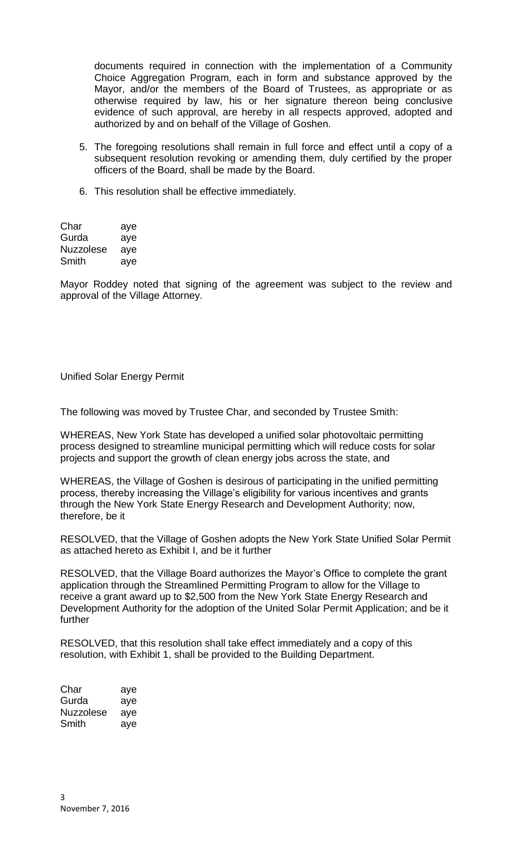documents required in connection with the implementation of a Community Choice Aggregation Program, each in form and substance approved by the Mayor, and/or the members of the Board of Trustees, as appropriate or as otherwise required by law, his or her signature thereon being conclusive evidence of such approval, are hereby in all respects approved, adopted and authorized by and on behalf of the Village of Goshen.

- 5. The foregoing resolutions shall remain in full force and effect until a copy of a subsequent resolution revoking or amending them, duly certified by the proper officers of the Board, shall be made by the Board.
- 6. This resolution shall be effective immediately.

| Char             | aye |
|------------------|-----|
| Gurda            | aye |
| <b>Nuzzolese</b> | aye |
| Smith            | aye |

Mayor Roddey noted that signing of the agreement was subject to the review and approval of the Village Attorney.

## Unified Solar Energy Permit

The following was moved by Trustee Char, and seconded by Trustee Smith:

WHEREAS, New York State has developed a unified solar photovoltaic permitting process designed to streamline municipal permitting which will reduce costs for solar projects and support the growth of clean energy jobs across the state, and

WHEREAS, the Village of Goshen is desirous of participating in the unified permitting process, thereby increasing the Village's eligibility for various incentives and grants through the New York State Energy Research and Development Authority; now, therefore, be it

RESOLVED, that the Village of Goshen adopts the New York State Unified Solar Permit as attached hereto as Exhibit I, and be it further

RESOLVED, that the Village Board authorizes the Mayor's Office to complete the grant application through the Streamlined Permitting Program to allow for the Village to receive a grant award up to \$2,500 from the New York State Energy Research and Development Authority for the adoption of the United Solar Permit Application; and be it further

RESOLVED, that this resolution shall take effect immediately and a copy of this resolution, with Exhibit 1, shall be provided to the Building Department.

| Char      | aye |
|-----------|-----|
| Gurda     | aye |
| Nuzzolese | aye |
| Smith     | ave |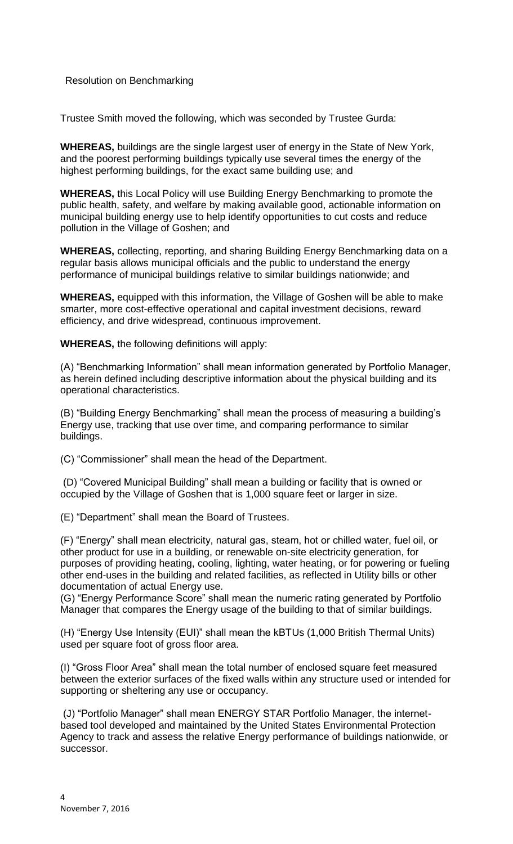# Resolution on Benchmarking

Trustee Smith moved the following, which was seconded by Trustee Gurda:

**WHEREAS,** buildings are the single largest user of energy in the State of New York, and the poorest performing buildings typically use several times the energy of the highest performing buildings, for the exact same building use; and

**WHEREAS,** this Local Policy will use Building Energy Benchmarking to promote the public health, safety, and welfare by making available good, actionable information on municipal building energy use to help identify opportunities to cut costs and reduce pollution in the Village of Goshen; and

**WHEREAS,** collecting, reporting, and sharing Building Energy Benchmarking data on a regular basis allows municipal officials and the public to understand the energy performance of municipal buildings relative to similar buildings nationwide; and

**WHEREAS,** equipped with this information, the Village of Goshen will be able to make smarter, more cost-effective operational and capital investment decisions, reward efficiency, and drive widespread, continuous improvement.

**WHEREAS,** the following definitions will apply:

(A) "Benchmarking Information" shall mean information generated by Portfolio Manager, as herein defined including descriptive information about the physical building and its operational characteristics.

(B) "Building Energy Benchmarking" shall mean the process of measuring a building's Energy use, tracking that use over time, and comparing performance to similar buildings.

(C) "Commissioner" shall mean the head of the Department.

(D) "Covered Municipal Building" shall mean a building or facility that is owned or occupied by the Village of Goshen that is 1,000 square feet or larger in size.

(E) "Department" shall mean the Board of Trustees.

(F) "Energy" shall mean electricity, natural gas, steam, hot or chilled water, fuel oil, or other product for use in a building, or renewable on-site electricity generation, for purposes of providing heating, cooling, lighting, water heating, or for powering or fueling other end-uses in the building and related facilities, as reflected in Utility bills or other documentation of actual Energy use.

(G) "Energy Performance Score" shall mean the numeric rating generated by Portfolio Manager that compares the Energy usage of the building to that of similar buildings.

(H) "Energy Use Intensity (EUI)" shall mean the kBTUs (1,000 British Thermal Units) used per square foot of gross floor area.

(I) "Gross Floor Area" shall mean the total number of enclosed square feet measured between the exterior surfaces of the fixed walls within any structure used or intended for supporting or sheltering any use or occupancy.

(J) "Portfolio Manager" shall mean ENERGY STAR Portfolio Manager, the internetbased tool developed and maintained by the United States Environmental Protection Agency to track and assess the relative Energy performance of buildings nationwide, or successor.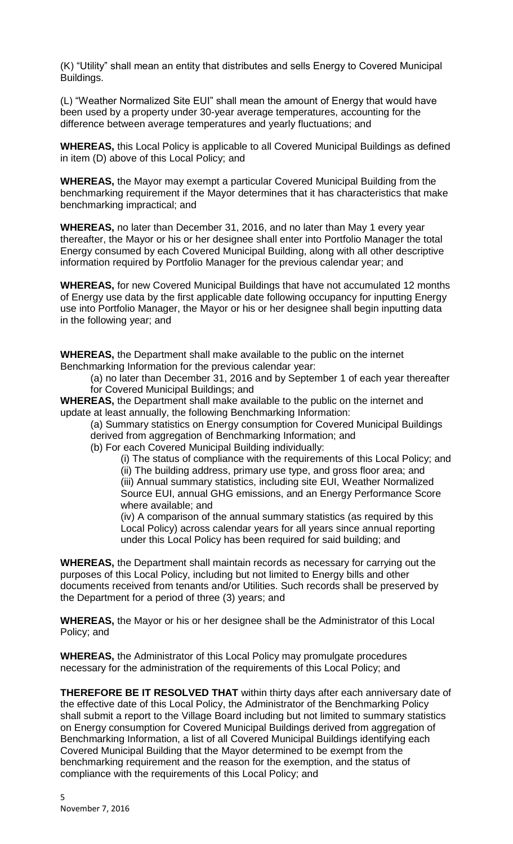(K) "Utility" shall mean an entity that distributes and sells Energy to Covered Municipal Buildings.

(L) "Weather Normalized Site EUI" shall mean the amount of Energy that would have been used by a property under 30-year average temperatures, accounting for the difference between average temperatures and yearly fluctuations; and

**WHEREAS,** this Local Policy is applicable to all Covered Municipal Buildings as defined in item (D) above of this Local Policy; and

**WHEREAS,** the Mayor may exempt a particular Covered Municipal Building from the benchmarking requirement if the Mayor determines that it has characteristics that make benchmarking impractical; and

**WHEREAS,** no later than December 31, 2016, and no later than May 1 every year thereafter, the Mayor or his or her designee shall enter into Portfolio Manager the total Energy consumed by each Covered Municipal Building, along with all other descriptive information required by Portfolio Manager for the previous calendar year; and

**WHEREAS,** for new Covered Municipal Buildings that have not accumulated 12 months of Energy use data by the first applicable date following occupancy for inputting Energy use into Portfolio Manager, the Mayor or his or her designee shall begin inputting data in the following year; and

**WHEREAS,** the Department shall make available to the public on the internet Benchmarking Information for the previous calendar year:

(a) no later than December 31, 2016 and by September 1 of each year thereafter for Covered Municipal Buildings; and

**WHEREAS,** the Department shall make available to the public on the internet and update at least annually, the following Benchmarking Information:

(a) Summary statistics on Energy consumption for Covered Municipal Buildings derived from aggregation of Benchmarking Information; and

(b) For each Covered Municipal Building individually:

(i) The status of compliance with the requirements of this Local Policy; and (ii) The building address, primary use type, and gross floor area; and

(iii) Annual summary statistics, including site EUI, Weather Normalized Source EUI, annual GHG emissions, and an Energy Performance Score where available; and

(iv) A comparison of the annual summary statistics (as required by this Local Policy) across calendar years for all years since annual reporting under this Local Policy has been required for said building; and

**WHEREAS,** the Department shall maintain records as necessary for carrying out the purposes of this Local Policy, including but not limited to Energy bills and other documents received from tenants and/or Utilities. Such records shall be preserved by the Department for a period of three (3) years; and

**WHEREAS,** the Mayor or his or her designee shall be the Administrator of this Local Policy; and

**WHEREAS,** the Administrator of this Local Policy may promulgate procedures necessary for the administration of the requirements of this Local Policy; and

**THEREFORE BE IT RESOLVED THAT** within thirty days after each anniversary date of the effective date of this Local Policy, the Administrator of the Benchmarking Policy shall submit a report to the Village Board including but not limited to summary statistics on Energy consumption for Covered Municipal Buildings derived from aggregation of Benchmarking Information, a list of all Covered Municipal Buildings identifying each Covered Municipal Building that the Mayor determined to be exempt from the benchmarking requirement and the reason for the exemption, and the status of compliance with the requirements of this Local Policy; and